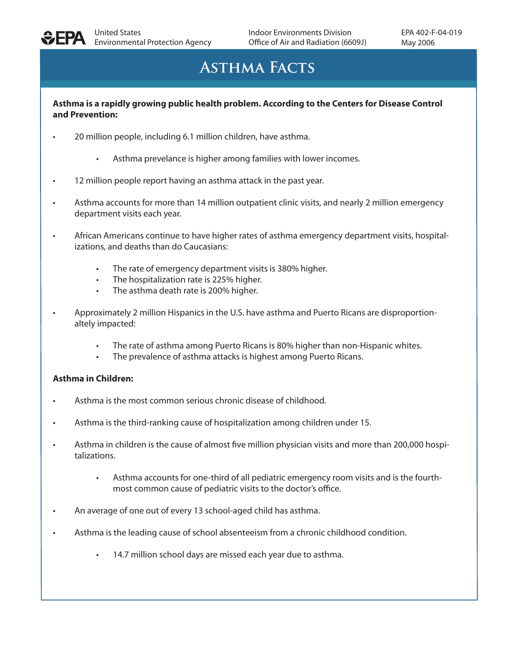

# **Asthma Facts**

### **Asthma is a rapidly growing public health problem. According to the Centers for Disease Control and Prevention:**

- 20 million people, including 6.1 million children, have asthma.
	- Asthma prevelance is higher among families with lower incomes.
- 12 million people report having an asthma attack in the past year.
- Asthma accounts for more than 14 million outpatient clinic visits, and nearly 2 million emergency department visits each year.
- African Americans continue to have higher rates of asthma emergency department visits, hospitalizations, and deaths than do Caucasians:
	- The rate of emergency department visits is 380% higher.
	- The hospitalization rate is 225% higher.
	- The asthma death rate is 200% higher.
- *•* Approximately 2 million Hispanics in the U.S. have asthma and Puerto Ricans are disproportionaltely impacted:
	- The rate of asthma among Puerto Ricans is 80% higher than non-Hispanic whites.
	- The prevalence of asthma attacks is highest among Puerto Ricans.

### **Asthma in Children:**

- Asthma is the most common serious chronic disease of childhood.
- Asthma is the third-ranking cause of hospitalization among children under 15.
- Asthma in children is the cause of almost five million physician visits and more than 200,000 hospitalizations.
	- Asthma accounts for one-third of all pediatric emergency room visits and is the fourthmost common cause of pediatric visits to the doctor's office.
- An average of one out of every 13 school-aged child has asthma.
- Asthma is the leading cause of school absenteeism from a chronic childhood condition.
	- 14.7 million school days are missed each year due to asthma.